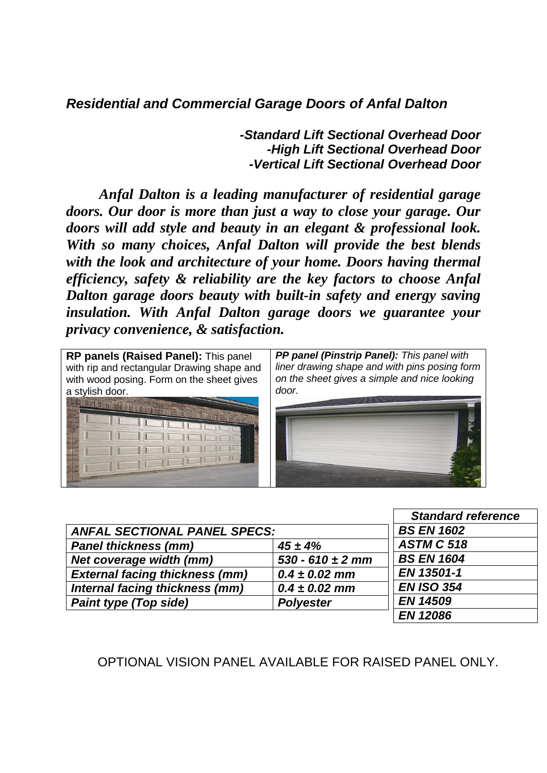*Residential and Commercial Garage Doors of Anfal Dalton*

*-Standard Lift Sectional Overhead Door -High Lift Sectional Overhead Door -Vertical Lift Sectional Overhead Door*

*Anfal Dalton is a leading manufacturer of residential garage doors. Our door is more than just a way to close your garage. Our doors will add style and beauty in an elegant & professional look. With so many choices, Anfal Dalton will provide the best blends with the look and architecture of your home. Doors having thermal efficiency, safety & reliability are the key factors to choose Anfal Dalton garage doors beauty with built-in safety and energy saving insulation. With Anfal Dalton garage doors we guarantee your privacy convenience, & satisfaction.*



|                                       |                      | <b>Standard reference</b> |
|---------------------------------------|----------------------|---------------------------|
| <b>ANFAL SECTIONAL PANEL SPECS:</b>   |                      | <b>BS EN 1602</b>         |
| <b>Panel thickness (mm)</b>           | $45 \pm 4\%$         | <b>ASTM C 518</b>         |
| Net coverage width (mm)               | $530 - 610 \pm 2$ mm | <b>BS EN 1604</b>         |
| <b>External facing thickness (mm)</b> | $0.4 \pm 0.02$ mm    | EN 13501-1                |
| Internal facing thickness (mm)        | $0.4 \pm 0.02$ mm    | <b>EN ISO 354</b>         |
| <b>Paint type (Top side)</b>          | <b>Polyester</b>     | <b>EN 14509</b>           |
|                                       |                      | <b>EN 12086</b>           |

OPTIONAL VISION PANEL AVAILABLE FOR RAISED PANEL ONLY.